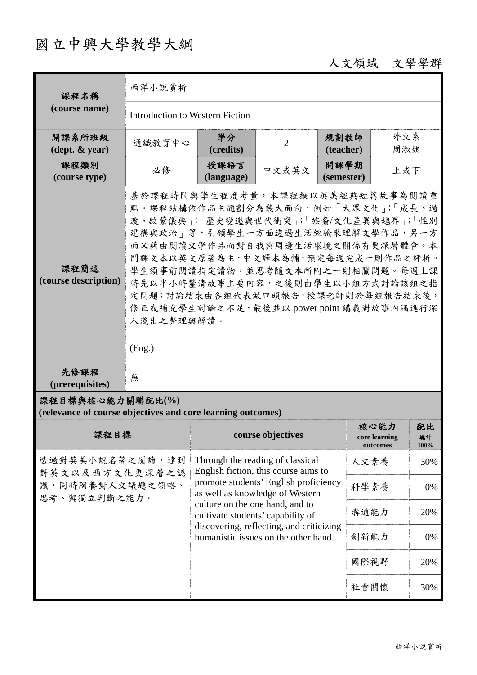## 國立中興大學教學大綱

## 人文領域-文學學群

| 課程名稱                                                                            | 西洋小說賞析                                                                                                                                                                                                                                                                                                                                                                                                          |                                                                                     |                   |                    |                                   |                  |  |
|---------------------------------------------------------------------------------|-----------------------------------------------------------------------------------------------------------------------------------------------------------------------------------------------------------------------------------------------------------------------------------------------------------------------------------------------------------------------------------------------------------------|-------------------------------------------------------------------------------------|-------------------|--------------------|-----------------------------------|------------------|--|
| (course name)                                                                   | Introduction to Western Fiction                                                                                                                                                                                                                                                                                                                                                                                 |                                                                                     |                   |                    |                                   |                  |  |
| 開課系所班級<br>$(\text{dept.} \& \text{ year})$                                      | 通識教育中心                                                                                                                                                                                                                                                                                                                                                                                                          | 學分<br>(credits)                                                                     | $\overline{2}$    | 規劃教師<br>(teacher)  | 外文系<br>周淑娟                        |                  |  |
| 課程類別<br>(course type)                                                           | 必修                                                                                                                                                                                                                                                                                                                                                                                                              | 授課語言<br>(language)                                                                  | 中文或英文             | 開課學期<br>(semester) | 上或下                               |                  |  |
| 課程簡述<br>(course description)                                                    | 基於課程時間與學生程度考量,本課程擬以英美經典短篇故事為閱讀重<br>點。課程結構依作品主題劃分為幾大面向,例如「大眾文化」;「成長、過<br>渡、啟蒙儀典」;「歷史變遷與世代衝突」;「族裔/文化差異與越界」;「性別<br>建構與政治   等, 引領學生一方面透過生活經驗來理解文學作品, 另一方<br>面又藉由閱讀文學作品而對自我與周邊生活環境之關係有更深層體會。本<br>門課文本以英文原著為主,中文譯本為輔,預定每週完成一則作品之評析。<br>學生須事前閱讀指定讀物,並思考隨文本所附之一則相關問題。每週上課<br>時先以半小時釐清故事主要內容,之後則由學生以小組方式討論該組之指<br>定問題;討論結束由各組代表做口頭報告,授課老師則於每組報告結束後,<br>修正或補充學生討論之不足, 最後並以 power point 講義對故事內涵進行深<br>入淺出之整理與解讀。<br>(Eng.) |                                                                                     |                   |                    |                                   |                  |  |
| 先修課程<br>(prerequisites)                                                         | 無                                                                                                                                                                                                                                                                                                                                                                                                               |                                                                                     |                   |                    |                                   |                  |  |
| 課程目標與核心能力關聯配比(%)<br>(relevance of course objectives and core learning outcomes) |                                                                                                                                                                                                                                                                                                                                                                                                                 |                                                                                     |                   |                    |                                   |                  |  |
| 課程目標                                                                            |                                                                                                                                                                                                                                                                                                                                                                                                                 |                                                                                     | course objectives |                    | 核心能力<br>core learning<br>outcomes | 配比<br>總計<br>100% |  |
| 透過對英美小說名著之閱讀,達到<br>對英文以及西方文化更深層之認<br>識,同時陶養對人文議題之領略、<br>思考、與獨立判斷之能力。            |                                                                                                                                                                                                                                                                                                                                                                                                                 | Through the reading of classical<br>English fiction, this course aims to            |                   | 人文素養               | 30%                               |                  |  |
|                                                                                 |                                                                                                                                                                                                                                                                                                                                                                                                                 | promote students' English proficiency<br>科學素養<br>as well as knowledge of Western    |                   |                    |                                   | 0%               |  |
|                                                                                 |                                                                                                                                                                                                                                                                                                                                                                                                                 | culture on the one hand, and to<br>溝通能力<br>20%<br>cultivate students' capability of |                   |                    |                                   |                  |  |
|                                                                                 |                                                                                                                                                                                                                                                                                                                                                                                                                 | discovering, reflecting, and criticizing<br>humanistic issues on the other hand.    |                   |                    | 創新能力                              | 0%               |  |
|                                                                                 |                                                                                                                                                                                                                                                                                                                                                                                                                 | 國際視野<br>社會關懷                                                                        |                   |                    |                                   | 20%              |  |
|                                                                                 |                                                                                                                                                                                                                                                                                                                                                                                                                 |                                                                                     |                   |                    |                                   | 30%              |  |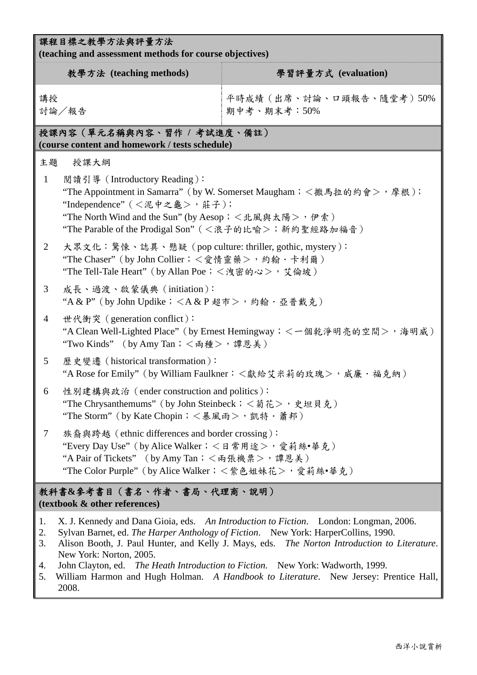|                            | 課程目標之教學方法與評量方法<br>(teaching and assessment methods for course objectives)                                                                                                                                                                                                                                                                                                                                                                                                                 |                                          |  |  |  |  |  |
|----------------------------|-------------------------------------------------------------------------------------------------------------------------------------------------------------------------------------------------------------------------------------------------------------------------------------------------------------------------------------------------------------------------------------------------------------------------------------------------------------------------------------------|------------------------------------------|--|--|--|--|--|
|                            | 教學方法 (teaching methods)                                                                                                                                                                                                                                                                                                                                                                                                                                                                   | 學習評量方式 (evaluation)                      |  |  |  |  |  |
| 講授                         | 討論/報告                                                                                                                                                                                                                                                                                                                                                                                                                                                                                     | 平時成績 (出席、討論、口頭報告、隨堂考) 50%<br>期中考、期末考:50% |  |  |  |  |  |
|                            | 授課內容(單元名稱與內容、習作 / 考試進度、備註)<br>(course content and homework / tests schedule)                                                                                                                                                                                                                                                                                                                                                                                                              |                                          |  |  |  |  |  |
| 主題                         | 授課大綱                                                                                                                                                                                                                                                                                                                                                                                                                                                                                      |                                          |  |  |  |  |  |
| $\mathbf{1}$               | 閱讀引導 (Introductory Reading):<br>"The Appointment in Samarra" (by W. Somerset Maugham; <撒馬拉的約會>,摩根);<br>"Independence" (<泥中之龜>, 莊子);<br>"The North Wind and the Sun" (by Aesop; < 北風與太陽>, 伊索)<br>"The Parable of the Prodigal Son" (<浪子的比喻>; 新約聖經路加福音)                                                                                                                                                                                                                                     |                                          |  |  |  |  |  |
| 2                          | 大眾文化:驚悚、誌異、懸疑 (pop culture: thriller, gothic, mystery):<br>"The Chaser" (by John Collier; <愛情靈藥>, 約翰·卡利爾)<br>"The Tell-Tale Heart" (by Allan Poe; <洩密的心>, 艾倫坡)                                                                                                                                                                                                                                                                                                                            |                                          |  |  |  |  |  |
| 3                          | 成長、過渡、啟蒙儀典 (initiation):<br>"A & P" (by John Updike; $\langle A \& P \& \bar{\pi} \rangle$ , 約翰·亞普戴克)                                                                                                                                                                                                                                                                                                                                                                                     |                                          |  |  |  |  |  |
| $\overline{4}$             | 世代衝突 (generation conflict):<br>"A Clean Well-Lighted Place" (by Ernest Hemingway; < 一個乾淨明亮的空間>, 海明威)<br>"Two Kinds" (by Amy Tan; <兩種>,譚恩美)                                                                                                                                                                                                                                                                                                                                                |                                          |  |  |  |  |  |
| $5^{\circ}$                | 歷史變遷 (historical transformation):<br>"A Rose for Emily" (by William Faulkner: <獻給艾米莉的玫瑰>, 威廉·福克納)                                                                                                                                                                                                                                                                                                                                                                                         |                                          |  |  |  |  |  |
| 6                          | 性別建構與政治 (ender construction and politics):<br>"The Chrysanthemums" (by John Steinbeck; < 菊花>, 史坦貝克)<br>"The Storm" (by Kate Chopin; <暴風雨>, 凱特·蕭邦)                                                                                                                                                                                                                                                                                                                                         |                                          |  |  |  |  |  |
| $\tau$                     | 族裔與跨越 (ethnic differences and border crossing):<br>"Every Day Use" (by Alice Walker; < 日常用途>,愛莉絲•華克)<br>"A Pair of Tickets" (by Amy Tan; <兩張機票>, 譚恩美)<br>"The Color Purple" (by Alice Walker; < 紫色姐妹花>, 愛莉絲•華克)                                                                                                                                                                                                                                                                           |                                          |  |  |  |  |  |
|                            | 教科書&參考書目(書名、作者、書局、代理商、說明)<br>(textbook & other references)                                                                                                                                                                                                                                                                                                                                                                                                                                |                                          |  |  |  |  |  |
| 1.<br>2.<br>3.<br>4.<br>5. | X. J. Kennedy and Dana Gioia, eds. An Introduction to Fiction. London: Longman, 2006.<br>Sylvan Barnet, ed. The Harper Anthology of Fiction. New York: HarperCollins, 1990.<br>Alison Booth, J. Paul Hunter, and Kelly J. Mays, eds. The Norton Introduction to Literature.<br>New York: Norton, 2005.<br>John Clayton, ed. The Heath Introduction to Fiction. New York: Wadworth, 1999.<br>William Harmon and Hugh Holman. A Handbook to Literature. New Jersey: Prentice Hall,<br>2008. |                                          |  |  |  |  |  |